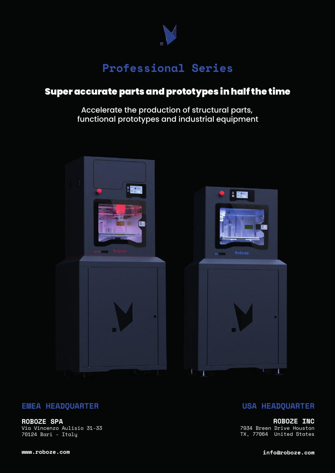

# **Professional Series**

## Super accurate parts and prototypes in half the time

Accelerate the production of structural parts, functional prototypes and industrial equipment



#### **EMEA HEADQUARTER**

**ROBOZE SPA** Via Vincenzo Aulisio 31-33 70124 Bari - Italy

#### **USA HEADQUARTER**

**ROBOZE INC** 7934 Breen Drive Houston TX, 77064 United States

**www.roboze.com**

**info@roboze.com**